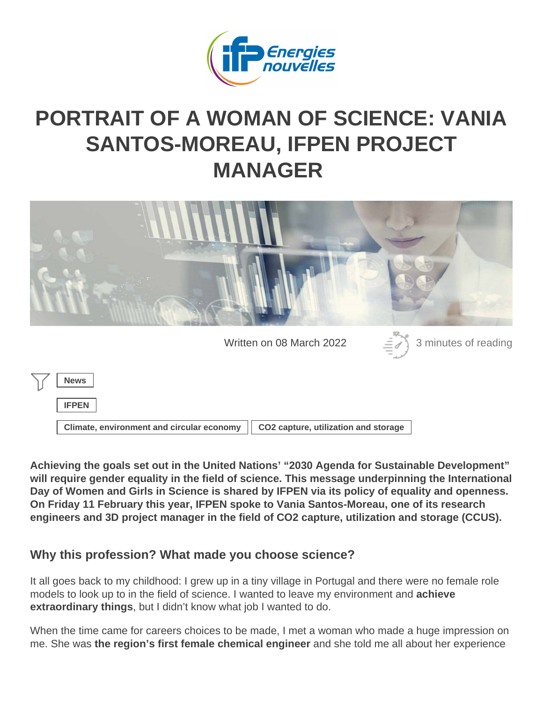## PORTRAIT OF A WOMAN OF SCIENCE: VANIA [SANTOS-MOREAU, IFPEN PROJ](https://www.ifpenergiesnouvelles.com/article/portrait-woman-science-vania-santos-moreau-ifpen-project-manager)ECT MANAGER

Written on 08 March 2022 3 minutes of reading

| <b>News</b>                               |                                      |
|-------------------------------------------|--------------------------------------|
| <b>IFPEN</b>                              |                                      |
| Climate, environment and circular economy | CO2 capture, utilization and storage |

Achieving the goals set out in the United Nations' "2030 Agenda for Sustainable Development" will require gender equality in the field of science. This message underpinning the International Day of Women and Girls in Science is shared by IFPEN via its policy of equality and openness. On Friday 11 February this year, IFPEN spoke to Vania Santos-Moreau, one of its research engineers and 3D project manager in the field of CO2 capture, utilization and storage (CCUS).

Why this profession? What made you choose science?

It all goes back to my childhood: I grew up in a tiny village in Portugal and there were no female role models to look up to in the field of science. I wanted to leave my environment and achieve extraordinary things , but I didn't know what job I wanted to do.

When the time came for careers choices to be made, I met a woman who made a huge impression on me. She was the region's first female chemical engineer and she told me all about her experience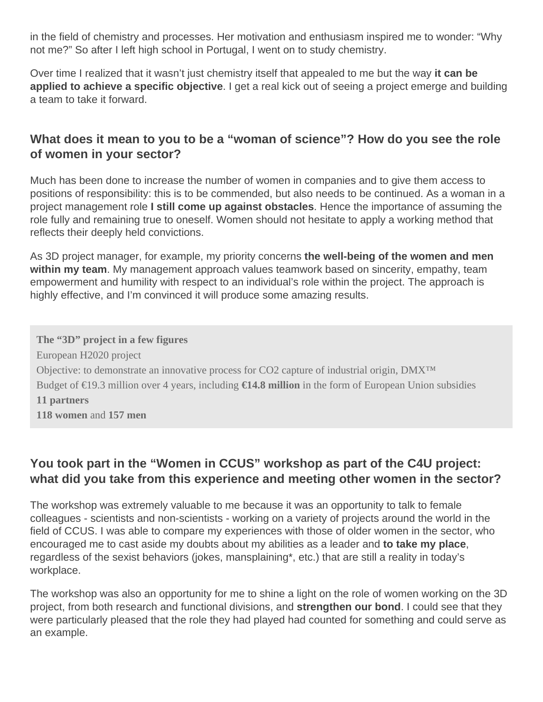in the field of chemistry and processes. Her motivation and enthusiasm inspired me to wonder: "Why not me?" So after I left high school in Portugal, I went on to study chemistry.

Over time I realized that it wasn't just chemistry itself that appealed to me but the way **it can be applied to achieve a specific objective**. I get a real kick out of seeing a project emerge and building a team to take it forward.

## **What does it mean to you to be a "woman of science"? How do you see the role of women in your sector?**

Much has been done to increase the number of women in companies and to give them access to positions of responsibility: this is to be commended, but also needs to be continued. As a woman in a project management role **I still come up against obstacles**. Hence the importance of assuming the role fully and remaining true to oneself. Women should not hesitate to apply a working method that reflects their deeply held convictions.

As 3D project manager, for example, my priority concerns **the well-being of the women and men within my team**. My management approach values teamwork based on sincerity, empathy, team empowerment and humility with respect to an individual's role within the project. The approach is highly effective, and I'm convinced it will produce some amazing results.

**The "3D" project in a few figures** European H2020 project Objective: to demonstrate an innovative process for CO2 capture of industrial origin, DMX™ Budget of €19.3 million over 4 years, including **€14.8 million** in the form of European Union subsidies **11 partners 118 women** and **157 men**

## **You took part in the "Women in CCUS" workshop as part of the C4U project: what did you take from this experience and meeting other women in the sector?**

The workshop was extremely valuable to me because it was an opportunity to talk to female colleagues - scientists and non-scientists - working on a variety of projects around the world in the field of CCUS. I was able to compare my experiences with those of older women in the sector, who encouraged me to cast aside my doubts about my abilities as a leader and **to take my place**, regardless of the sexist behaviors (jokes, mansplaining\*, etc.) that are still a reality in today's workplace.

The workshop was also an opportunity for me to shine a light on the role of women working on the 3D project, from both research and functional divisions, and **strengthen our bond**. I could see that they were particularly pleased that the role they had played had counted for something and could serve as an example.